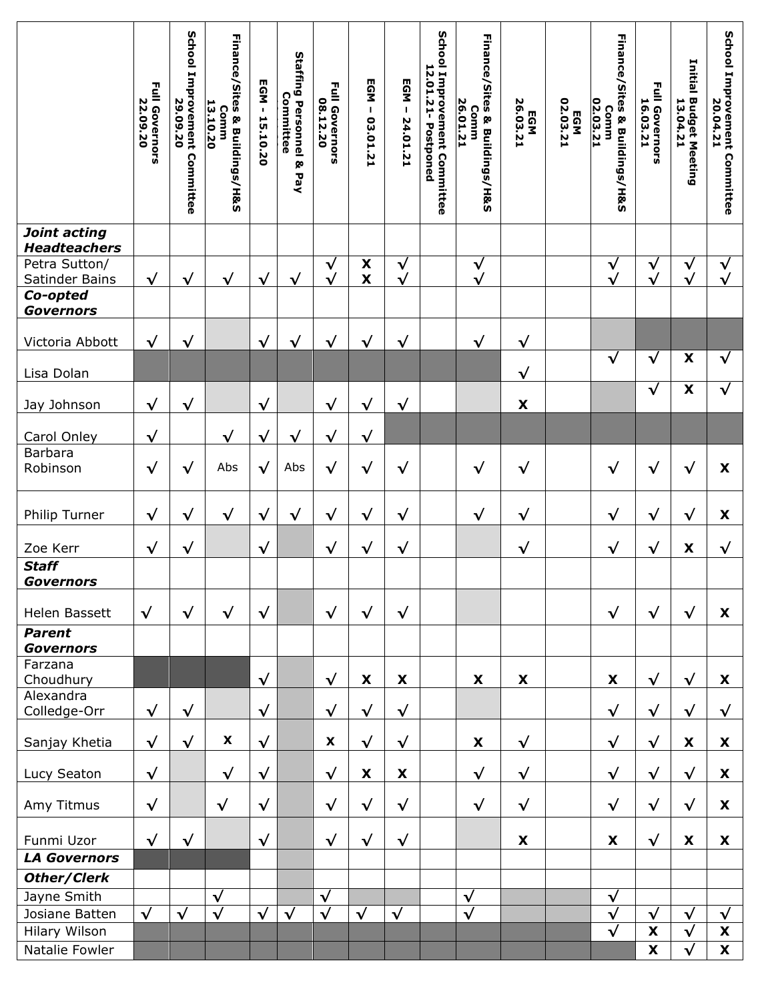|                                     | <b>Full Governors</b><br>22.09.20 | School Improvement Committee<br>29.09.20 | <b>Finance/Sites &amp; Buildings/H&amp;S</b><br>13.10.20<br>Comm | EGM-<br>15.10.20 | Staffing Personnel &<br>Committee<br><b>Pay</b> | Full Governors<br>08.12.20 | <b>EGM</b><br>$\mathbf I$<br>03.01.21    | EGM-<br>24.01.21           | School<br>12.01.21-Postponed<br>Improvement Committee | <b>Finance/Sites &amp; Buildings/H&amp;S</b><br>26.01.21<br>Comm | 26.03.21<br>EGM    | <b>EGM<br/>02.03.21</b> | Finance/Sites & Buildings/H&S<br>02.03.21<br>Comm | <b>Full Governors</b><br>16.03.21 | Initial<br><b>Budget Meeting<br/>13.04.21</b> | School Improvement<br>20.04.21<br>Committee |
|-------------------------------------|-----------------------------------|------------------------------------------|------------------------------------------------------------------|------------------|-------------------------------------------------|----------------------------|------------------------------------------|----------------------------|-------------------------------------------------------|------------------------------------------------------------------|--------------------|-------------------------|---------------------------------------------------|-----------------------------------|-----------------------------------------------|---------------------------------------------|
| Joint acting<br><b>Headteachers</b> |                                   |                                          |                                                                  |                  |                                                 |                            |                                          |                            |                                                       |                                                                  |                    |                         |                                                   |                                   |                                               |                                             |
| Petra Sutton/<br>Satinder Bains     | $\checkmark$                      | $\checkmark$                             | $\sqrt{}$                                                        | $\checkmark$     | $\checkmark$                                    | $\sqrt{}$<br>$\checkmark$  | $\pmb{\mathsf{x}}$<br>$\pmb{\mathsf{x}}$ | $\checkmark$<br>$\sqrt{ }$ |                                                       | $\sqrt{ }$<br>$\sqrt{}$                                          |                    |                         | $\sqrt{}$<br>$\checkmark$                         | $\sqrt{ }$<br>$\sqrt{}$           | $\checkmark$<br>$\sqrt{ }$                    | $\checkmark$<br>$\checkmark$                |
| Co-opted<br><b>Governors</b>        |                                   |                                          |                                                                  |                  |                                                 |                            |                                          |                            |                                                       |                                                                  |                    |                         |                                                   |                                   |                                               |                                             |
| Victoria Abbott                     | $\checkmark$                      | $\sqrt{}$                                |                                                                  | $\checkmark$     | $\sqrt{}$                                       | $\checkmark$               | $\checkmark$                             | $\sqrt{}$                  |                                                       | $\checkmark$                                                     | $\checkmark$       |                         |                                                   |                                   |                                               |                                             |
| Lisa Dolan                          |                                   |                                          |                                                                  |                  |                                                 |                            |                                          |                            |                                                       |                                                                  | $\checkmark$       |                         | $\sqrt{}$                                         | $\checkmark$                      | X                                             | $\checkmark$                                |
| Jay Johnson                         | $\checkmark$                      | $\checkmark$                             |                                                                  | $\sqrt{}$        |                                                 | $\sqrt{ }$                 | $\sqrt{}$                                | $\sqrt{ }$                 |                                                       |                                                                  | $\pmb{\mathsf{x}}$ |                         |                                                   | $\checkmark$                      | $\boldsymbol{\mathsf{X}}$                     | $\sqrt{ }$                                  |
| Carol Onley                         | $\sqrt{ }$                        |                                          | $\checkmark$                                                     | $\sqrt{}$        | $\checkmark$                                    | $\sqrt{}$                  | $\checkmark$                             |                            |                                                       |                                                                  |                    |                         |                                                   |                                   |                                               |                                             |
| <b>Barbara</b><br>Robinson          | $\checkmark$                      | $\checkmark$                             | Abs                                                              | $\checkmark$     | Abs                                             | $\sqrt{}$                  | $\sqrt{}$                                | $\sqrt{}$                  |                                                       | $\sqrt{}$                                                        | $\checkmark$       |                         | $\sqrt{}$                                         | $\checkmark$                      | √                                             | X                                           |
|                                     |                                   |                                          |                                                                  |                  |                                                 |                            |                                          |                            |                                                       |                                                                  |                    |                         |                                                   |                                   |                                               |                                             |
| Philip Turner                       | $\sqrt{}$                         | $\checkmark$                             | $\checkmark$                                                     | $\sqrt{}$        | $\sqrt{}$                                       | $\checkmark$               | $\checkmark$                             | $\checkmark$               |                                                       | $\checkmark$                                                     | $\checkmark$       |                         | $\checkmark$                                      | $\checkmark$                      | $\checkmark$                                  | X                                           |
| Zoe Kerr                            | $\sqrt{}$                         | $\checkmark$                             |                                                                  | $\checkmark$     |                                                 | $\checkmark$               | $\checkmark$                             | $\sqrt{}$                  |                                                       |                                                                  | $\checkmark$       |                         | $\checkmark$                                      | $\checkmark$                      | X                                             | $\checkmark$                                |
| <b>Staff</b><br><b>Governors</b>    |                                   |                                          |                                                                  |                  |                                                 |                            |                                          |                            |                                                       |                                                                  |                    |                         |                                                   |                                   |                                               |                                             |
| Helen Bassett                       | $\checkmark$                      | $\checkmark$                             | $\sqrt{ }$                                                       | $\sqrt{ }$       |                                                 | $\checkmark$               | $\sqrt{ }$                               | $\sqrt{ }$                 |                                                       |                                                                  |                    |                         | $\checkmark$                                      | $\sqrt{ }$                        | $\checkmark$                                  | $\mathbf{x}$                                |
| <b>Parent</b><br><b>Governors</b>   |                                   |                                          |                                                                  |                  |                                                 |                            |                                          |                            |                                                       |                                                                  |                    |                         |                                                   |                                   |                                               |                                             |
| Farzana<br>Choudhury                |                                   |                                          |                                                                  | $\checkmark$     |                                                 | $\checkmark$               | X                                        | $\pmb{\mathsf{X}}$         |                                                       | X                                                                | X                  |                         | X                                                 | $\checkmark$                      | $\checkmark$                                  | X                                           |
| Alexandra<br>Colledge-Orr           | $\checkmark$                      | $\checkmark$                             |                                                                  | $\checkmark$     |                                                 | $\checkmark$               | $\sqrt{ }$                               | $\checkmark$               |                                                       |                                                                  |                    |                         | $\checkmark$                                      | $\sqrt{}$                         | $\sqrt{}$                                     | $\sqrt{ }$                                  |
| Sanjay Khetia                       | $\sqrt{ }$                        | $\checkmark$                             | $\pmb{\mathsf{X}}$                                               | $\checkmark$     |                                                 | $\pmb{\mathsf{X}}$         | $\sqrt{}$                                | $\checkmark$               |                                                       | $\pmb{\mathsf{X}}$                                               | $\checkmark$       |                         | $\checkmark$                                      | $\sqrt{}$                         | X                                             | X                                           |
| Lucy Seaton                         | $\checkmark$                      |                                          | $\sqrt{ }$                                                       | $\checkmark$     |                                                 | $\checkmark$               | X                                        | X                          |                                                       | $\checkmark$                                                     | $\checkmark$       |                         | $\checkmark$                                      | $\checkmark$                      | $\sqrt{}$                                     | X                                           |
| Amy Titmus                          | $\checkmark$                      |                                          | $\checkmark$                                                     | $\sqrt{}$        |                                                 | $\sqrt{}$                  | $\checkmark$                             | $\sqrt{ }$                 |                                                       | $\checkmark$                                                     | $\sqrt{}$          |                         | $\sqrt{ }$                                        | $\sqrt{ }$                        | $\sqrt{}$                                     | X                                           |
| Funmi Uzor                          | $\sqrt{ }$                        | $\sqrt{ }$                               |                                                                  | $\checkmark$     |                                                 | $\checkmark$               | $\sqrt{ }$                               | $\sqrt{}$                  |                                                       |                                                                  | X                  |                         | X                                                 | $\sqrt{ }$                        | X                                             | X                                           |
| <b>LA Governors</b>                 |                                   |                                          |                                                                  |                  |                                                 |                            |                                          |                            |                                                       |                                                                  |                    |                         |                                                   |                                   |                                               |                                             |
| Other/Clerk                         |                                   |                                          |                                                                  |                  |                                                 |                            |                                          |                            |                                                       |                                                                  |                    |                         |                                                   |                                   |                                               |                                             |
| Jayne Smith                         |                                   |                                          | $\sqrt{}$                                                        |                  |                                                 | $\sqrt{ }$                 |                                          |                            |                                                       | $\checkmark$                                                     |                    |                         | $\sqrt{}$                                         |                                   |                                               |                                             |
| Josiane Batten                      | $\checkmark$                      | $\sqrt{ }$                               | $\checkmark$                                                     | $\sqrt{}$        | $\checkmark$                                    | $\checkmark$               | $\checkmark$                             | $\checkmark$               |                                                       | $\checkmark$                                                     |                    |                         | $\sqrt{}$                                         | $\sqrt{ }$                        | $\checkmark$                                  | $\sqrt{ }$                                  |
| Hilary Wilson                       |                                   |                                          |                                                                  |                  |                                                 |                            |                                          |                            |                                                       |                                                                  |                    |                         | $\overline{\sqrt{} }$                             | $\boldsymbol{\mathsf{X}}$         | $\checkmark$                                  | X                                           |
| Natalie Fowler                      |                                   |                                          |                                                                  |                  |                                                 |                            |                                          |                            |                                                       |                                                                  |                    |                         |                                                   | X                                 | $\checkmark$                                  | $\boldsymbol{\mathsf{X}}$                   |